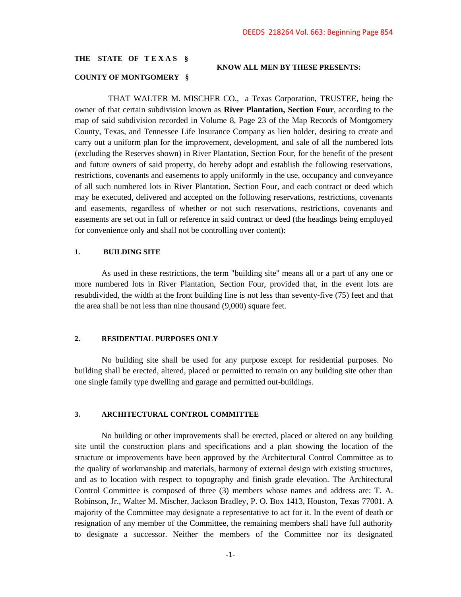# **THE STATE OF T E X A S §**

#### **KNOW ALL MEN BY THESE PRESENTS:**

#### **COUNTY OF MONTGOMERY §**

 THAT WALTER M. MISCHER CO., a Texas Corporation, TRUSTEE, being the owner of that certain subdivision known as **River Plantation, Section Four**, according to the map of said subdivision recorded in Volume 8, Page 23 of the Map Records of Montgomery County, Texas, and Tennessee Life Insurance Company as lien holder, desiring to create and carry out a uniform plan for the improvement, development, and sale of all the numbered lots (excluding the Reserves shown) in River Plantation, Section Four, for the benefit of the present and future owners of said property, do hereby adopt and establish the following reservations, restrictions, covenants and easements to apply uniformly in the use, occupancy and conveyance of all such numbered lots in River Plantation, Section Four, and each contract or deed which may be executed, delivered and accepted on the following reservations, restrictions, covenants and easements, regardless of whether or not such reservations, restrictions, covenants and easements are set out in full or reference in said contract or deed (the headings being employed for convenience only and shall not be controlling over content):

### **1. BUILDING SITE**

As used in these restrictions, the term "building site" means all or a part of any one or more numbered lots in River Plantation, Section Four, provided that, in the event lots are resubdivided, the width at the front building line is not less than seventy-five (75) feet and that the area shall be not less than nine thousand (9,000) square feet.

# **2. RESIDENTIAL PURPOSES ONLY**

No building site shall be used for any purpose except for residential purposes. No building shall be erected, altered, placed or permitted to remain on any building site other than one single family type dwelling and garage and permitted out-buildings.

# **3. ARCHITECTURAL CONTROL COMMITTEE**

No building or other improvements shall be erected, placed or altered on any building site until the construction plans and specifications and a plan showing the location of the structure or improvements have been approved by the Architectural Control Committee as to the quality of workmanship and materials, harmony of external design with existing structures, and as to location with respect to topography and finish grade elevation. The Architectural Control Committee is composed of three (3) members whose names and address are: T. A. Robinson, Jr., Walter M. Mischer, Jackson Bradley, P. O. Box 1413, Houston, Texas 77001. A majority of the Committee may designate a representative to act for it. In the event of death or resignation of any member of the Committee, the remaining members shall have full authority to designate a successor. Neither the members of the Committee nor its designated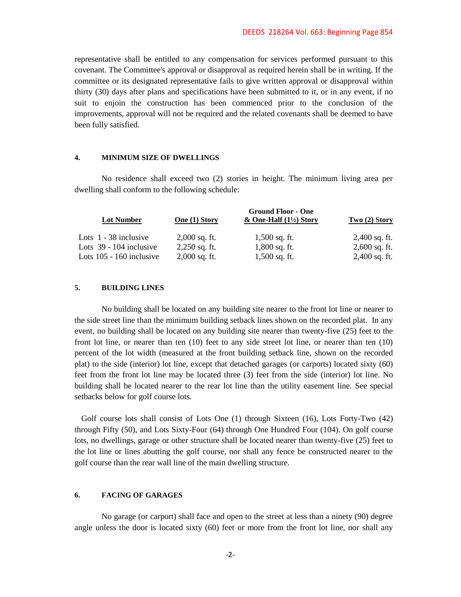representative shall be entitled to any compensation for services performed pursuant to this covenant. The Committee's approval or disapproval as required herein shall be in writing. If the committee or its designated representative fails to give written approval or disapproval within thirty (30) days after plans and specifications have been submitted to it, or in any event, if no suit to enjoin the construction has been commenced prior to the conclusion of the improvements, approval will not be required and the related covenants shall be deemed to have been fully satisfied.

## **4. MINIMUM SIZE OF DWELLINGS**

No residence shall exceed two (2) stories in height. The minimum living area per dwelling shall conform to the following schedule:

| <b>Lot Number</b>          | <b>Ground Floor - One</b> |                                     |                 |
|----------------------------|---------------------------|-------------------------------------|-----------------|
|                            | One (1) Story             | $&$ One-Half $(1\frac{1}{2})$ Story | Two $(2)$ Story |
| Lots $1 - 38$ inclusive    | $2,000$ sq. ft.           | $1,500$ sq. ft.                     | $2,400$ sq. ft. |
| Lots $39 - 104$ inclusive  | $2,250$ sq. ft.           | $1,800$ sq. ft.                     | $2,600$ sq. ft. |
| Lots $105 - 160$ inclusive | $2,000$ sq. ft.           | $1,500$ sq. ft.                     | $2,400$ sq. ft. |

## **5. BUILDING LINES**

No building shall be located on any building site nearer to the front lot line or nearer to the side street line than the minimum building setback lines shown on the recorded plat. In any event, no building shall be located on any building site nearer than twenty-five (25) feet to the front lot line, or nearer than ten (10) feet to any side street lot line, or nearer than ten (10) percent of the lot width (measured at the front building setback line, shown on the recorded plat) to the side (interior) lot line, except that detached garages (or carports) located sixty (60) feet from the front lot line may be located three (3) feet from the side (interior) lot line. No building shall be located nearer to the rear lot line than the utility easement line. See special setbacks below for golf course lots.

Golf course lots shall consist of Lots One (1) through Sixteen (16), Lots Forty-Two (42) through Fifty (50), and Lots Sixty-Four (64) through One Hundred Four (104). On golf course lots, no dwellings, garage or other structure shall be located nearer than twenty-five (25) feet to the lot line or lines abutting the golf course, nor shall any fence be constructed nearer to the golf course than the rear wall line of the main dwelling structure.

# **6. FACING OF GARAGES**

No garage (or carport) shall face and open to the street at less than a ninety (90) degree angle unless the door is located sixty (60) feet or more from the front lot line, nor shall any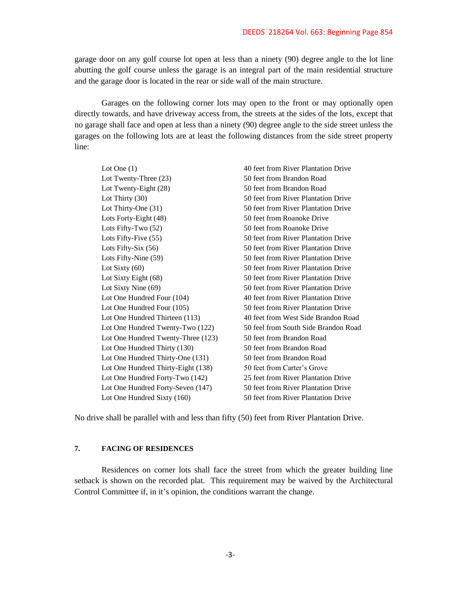garage door on any golf course lot open at less than a ninety (90) degree angle to the lot line abutting the golf course unless the garage is an integral part of the main residential structure and the garage door is located in the rear or side wall of the main structure.

Garages on the following corner lots may open to the front or may optionally open directly towards, and have driveway access from, the streets at the sides of the lots, except that no garage shall face and open at less than a ninety (90) degree angle to the side street unless the garages on the following lots are at least the following distances from the side street property line:

Lot One (1) 40 feet from River Plantation Drive Lot Twenty-Three (23) 50 feet from Brandon Road Lot Twenty-Eight (28) 50 feet from Brandon Road Lot Thirty (30) 50 feet from River Plantation Drive Lot Thirty-One (31) 50 feet from River Plantation Drive Lots Forty-Eight (48) 50 feet from Roanoke Drive Lots Fifty-Two (52) 50 feet from Roanoke Drive Lots Fifty-Five (55) 50 feet from River Plantation Drive Lots Fifty-Six (56) 50 feet from River Plantation Drive Lots Fifty-Nine (59) 50 feet from River Plantation Drive Lot Sixty (60) 50 feet from River Plantation Drive Lot Sixty Eight (68) 50 feet from River Plantation Drive Lot Sixty Nine (69) 50 feet from River Plantation Drive Lot One Hundred Four (104) 40 feet from River Plantation Drive Lot One Hundred Four (105) 50 feet from River Plantation Drive Lot One Hundred Thirteen (113) 40 feet from West Side Brandon Road Lot One Hundred Twenty-Two (122) 50 feel from South Side Brandon Road Lot One Hundred Twenty-Three (123) 50 feet from Brandon Road Lot One Hundred Thirty (130) 50 feet from Brandon Road Lot One Hundred Thirty-One (131) 50 feet from Brandon Road Lot One Hundred Thirty-Eight (138) 50 feet from Carter's Grove Lot One Hundred Forty-Two (142) 25 feet from River Plantation Drive Lot One Hundred Forty-Seven (147) 50 feet from River Plantation Drive Lot One Hundred Sixty (160) 50 feet from River Plantation Drive

No drive shall be parallel with and less than fifty (50) feet from River Plantation Drive.

# **7. FACING OF RESIDENCES**

Residences on corner lots shall face the street from which the greater building line setback is shown on the recorded plat. This requirement may be waived by the Architectural Control Committee if, in it's opinion, the conditions warrant the change.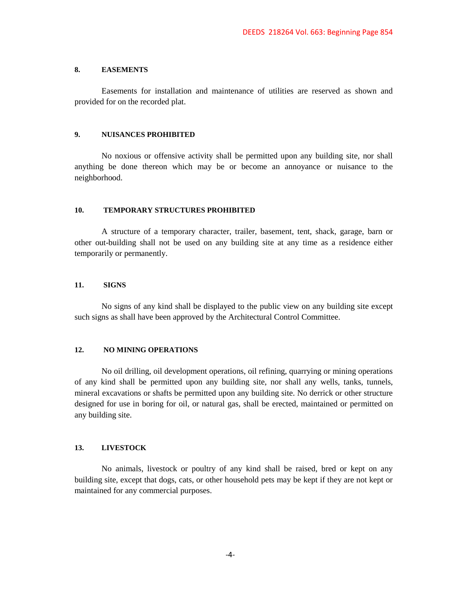### **8. EASEMENTS**

Easements for installation and maintenance of utilities are reserved as shown and provided for on the recorded plat.

# **9. NUISANCES PROHIBITED**

No noxious or offensive activity shall be permitted upon any building site, nor shall anything be done thereon which may be or become an annoyance or nuisance to the neighborhood.

### **10. TEMPORARY STRUCTURES PROHIBITED**

A structure of a temporary character, trailer, basement, tent, shack, garage, barn or other out-building shall not be used on any building site at any time as a residence either temporarily or permanently.

### **11. SIGNS**

No signs of any kind shall be displayed to the public view on any building site except such signs as shall have been approved by the Architectural Control Committee.

# **12. NO MINING OPERATIONS**

No oil drilling, oil development operations, oil refining, quarrying or mining operations of any kind shall be permitted upon any building site, nor shall any wells, tanks, tunnels, mineral excavations or shafts be permitted upon any building site. No derrick or other structure designed for use in boring for oil, or natural gas, shall be erected, maintained or permitted on any building site.

# **13. LIVESTOCK**

No animals, livestock or poultry of any kind shall be raised, bred or kept on any building site, except that dogs, cats, or other household pets may be kept if they are not kept or maintained for any commercial purposes.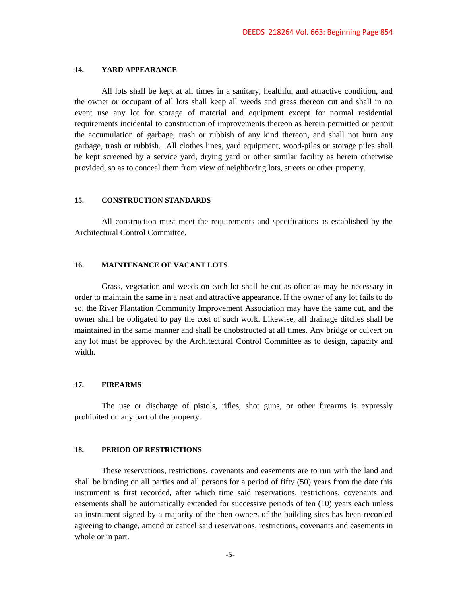#### **14. YARD APPEARANCE**

All lots shall be kept at all times in a sanitary, healthful and attractive condition, and the owner or occupant of all lots shall keep all weeds and grass thereon cut and shall in no event use any lot for storage of material and equipment except for normal residential requirements incidental to construction of improvements thereon as herein permitted or permit the accumulation of garbage, trash or rubbish of any kind thereon, and shall not burn any garbage, trash or rubbish. All clothes lines, yard equipment, wood-piles or storage piles shall be kept screened by a service yard, drying yard or other similar facility as herein otherwise provided, so as to conceal them from view of neighboring lots, streets or other property.

### **15. CONSTRUCTION STANDARDS**

All construction must meet the requirements and specifications as established by the Architectural Control Committee.

# **16. MAINTENANCE OF VACANT LOTS**

Grass, vegetation and weeds on each lot shall be cut as often as may be necessary in order to maintain the same in a neat and attractive appearance. If the owner of any lot fails to do so, the River Plantation Community Improvement Association may have the same cut, and the owner shall be obligated to pay the cost of such work. Likewise, all drainage ditches shall be maintained in the same manner and shall be unobstructed at all times. Any bridge or culvert on any lot must be approved by the Architectural Control Committee as to design, capacity and width.

# **17. FIREARMS**

The use or discharge of pistols, rifles, shot guns, or other firearms is expressly prohibited on any part of the property.

# **18. PERIOD OF RESTRICTIONS**

These reservations, restrictions, covenants and easements are to run with the land and shall be binding on all parties and all persons for a period of fifty (50) years from the date this instrument is first recorded, after which time said reservations, restrictions, covenants and easements shall be automatically extended for successive periods of ten (10) years each unless an instrument signed by a majority of the then owners of the building sites has been recorded agreeing to change, amend or cancel said reservations, restrictions, covenants and easements in whole or in part.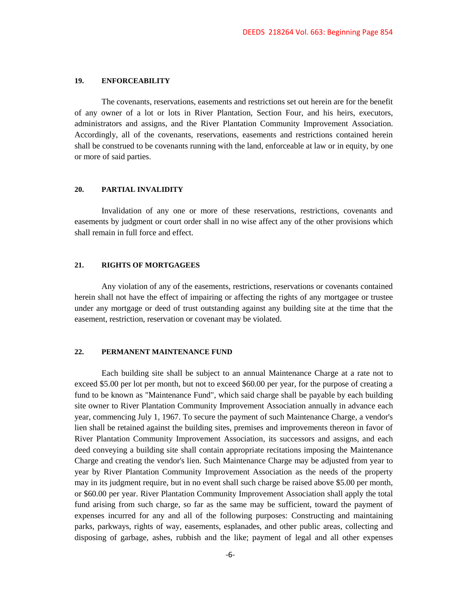### **19. ENFORCEABILITY**

The covenants, reservations, easements and restrictions set out herein are for the benefit of any owner of a lot or lots in River Plantation, Section Four, and his heirs, executors, administrators and assigns, and the River Plantation Community Improvement Association. Accordingly, all of the covenants, reservations, easements and restrictions contained herein shall be construed to be covenants running with the land, enforceable at law or in equity, by one or more of said parties.

## **20. PARTIAL INVALIDITY**

Invalidation of any one or more of these reservations, restrictions, covenants and easements by judgment or court order shall in no wise affect any of the other provisions which shall remain in full force and effect.

# **21. RIGHTS OF MORTGAGEES**

Any violation of any of the easements, restrictions, reservations or covenants contained herein shall not have the effect of impairing or affecting the rights of any mortgagee or trustee under any mortgage or deed of trust outstanding against any building site at the time that the easement, restriction, reservation or covenant may be violated.

#### **22. PERMANENT MAINTENANCE FUND**

Each building site shall be subject to an annual Maintenance Charge at a rate not to exceed \$5.00 per lot per month, but not to exceed \$60.00 per year, for the purpose of creating a fund to be known as "Maintenance Fund", which said charge shall be payable by each building site owner to River Plantation Community Improvement Association annually in advance each year, commencing July 1, 1967. To secure the payment of such Maintenance Charge, a vendor's lien shall be retained against the building sites, premises and improvements thereon in favor of River Plantation Community Improvement Association, its successors and assigns, and each deed conveying a building site shall contain appropriate recitations imposing the Maintenance Charge and creating the vendor's lien. Such Maintenance Charge may be adjusted from year to year by River Plantation Community Improvement Association as the needs of the property may in its judgment require, but in no event shall such charge be raised above \$5.00 per month, or \$60.00 per year. River Plantation Community Improvement Association shall apply the total fund arising from such charge, so far as the same may be sufficient, toward the payment of expenses incurred for any and all of the following purposes: Constructing and maintaining parks, parkways, rights of way, easements, esplanades, and other public areas, collecting and disposing of garbage, ashes, rubbish and the like; payment of legal and all other expenses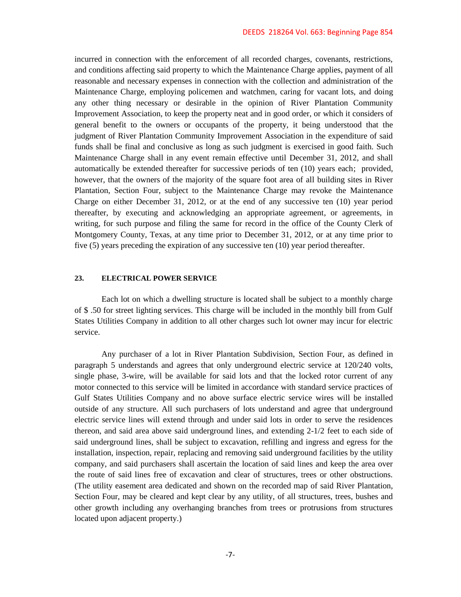incurred in connection with the enforcement of all recorded charges, covenants, restrictions, and conditions affecting said property to which the Maintenance Charge applies, payment of all reasonable and necessary expenses in connection with the collection and administration of the Maintenance Charge, employing policemen and watchmen, caring for vacant lots, and doing any other thing necessary or desirable in the opinion of River Plantation Community Improvement Association, to keep the property neat and in good order, or which it considers of general benefit to the owners or occupants of the property, it being understood that the judgment of River Plantation Community Improvement Association in the expenditure of said funds shall be final and conclusive as long as such judgment is exercised in good faith. Such Maintenance Charge shall in any event remain effective until December 31, 2012, and shall automatically be extended thereafter for successive periods of ten (10) years each; provided, however, that the owners of the majority of the square foot area of all building sites in River Plantation, Section Four, subject to the Maintenance Charge may revoke the Maintenance Charge on either December 31, 2012, or at the end of any successive ten (10) year period thereafter, by executing and acknowledging an appropriate agreement, or agreements, in writing, for such purpose and filing the same for record in the office of the County Clerk of Montgomery County, Texas, at any time prior to December 31, 2012, or at any time prior to five (5) years preceding the expiration of any successive ten (10) year period thereafter.

# **23. ELECTRICAL POWER SERVICE**

Each lot on which a dwelling structure is located shall be subject to a monthly charge of \$ .50 for street lighting services. This charge will be included in the monthly bill from Gulf States Utilities Company in addition to all other charges such lot owner may incur for electric service.

Any purchaser of a lot in River Plantation Subdivision, Section Four, as defined in paragraph 5 understands and agrees that only underground electric service at 120/240 volts, single phase, 3-wire, will be available for said lots and that the locked rotor current of any motor connected to this service will be limited in accordance with standard service practices of Gulf States Utilities Company and no above surface electric service wires will be installed outside of any structure. All such purchasers of lots understand and agree that underground electric service lines will extend through and under said lots in order to serve the residences thereon, and said area above said underground lines, and extending 2-1/2 feet to each side of said underground lines, shall be subject to excavation, refilling and ingress and egress for the installation, inspection, repair, replacing and removing said underground facilities by the utility company, and said purchasers shall ascertain the location of said lines and keep the area over the route of said lines free of excavation and clear of structures, trees or other obstructions. (The utility easement area dedicated and shown on the recorded map of said River Plantation, Section Four, may be cleared and kept clear by any utility, of all structures, trees, bushes and other growth including any overhanging branches from trees or protrusions from structures located upon adjacent property.)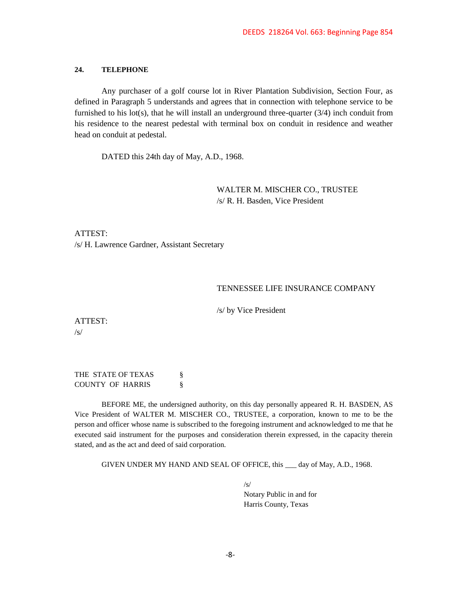#### **24. TELEPHONE**

Any purchaser of a golf course lot in River Plantation Subdivision, Section Four, as defined in Paragraph 5 understands and agrees that in connection with telephone service to be furnished to his lot(s), that he will install an underground three-quarter  $(3/4)$  inch conduit from his residence to the nearest pedestal with terminal box on conduit in residence and weather head on conduit at pedestal.

DATED this 24th day of May, A.D., 1968.

WALTER M. MISCHER CO., TRUSTEE /s/ R. H. Basden, Vice President

ATTEST: /s/ H. Lawrence Gardner, Assistant Secretary

# TENNESSEE LIFE INSURANCE COMPANY

/s/ by Vice President

ATTEST: /s/

THE STATE OF TEXAS  $\S$ COUNTY OF HARRIS §

BEFORE ME, the undersigned authority, on this day personally appeared R. H. BASDEN, AS Vice President of WALTER M. MISCHER CO., TRUSTEE, a corporation, known to me to be the person and officer whose name is subscribed to the foregoing instrument and acknowledged to me that he executed said instrument for the purposes and consideration therein expressed, in the capacity therein stated, and as the act and deed of said corporation.

GIVEN UNDER MY HAND AND SEAL OF OFFICE, this \_\_\_ day of May, A.D., 1968.

 $\sqrt{s}$ Notary Public in and for Harris County, Texas